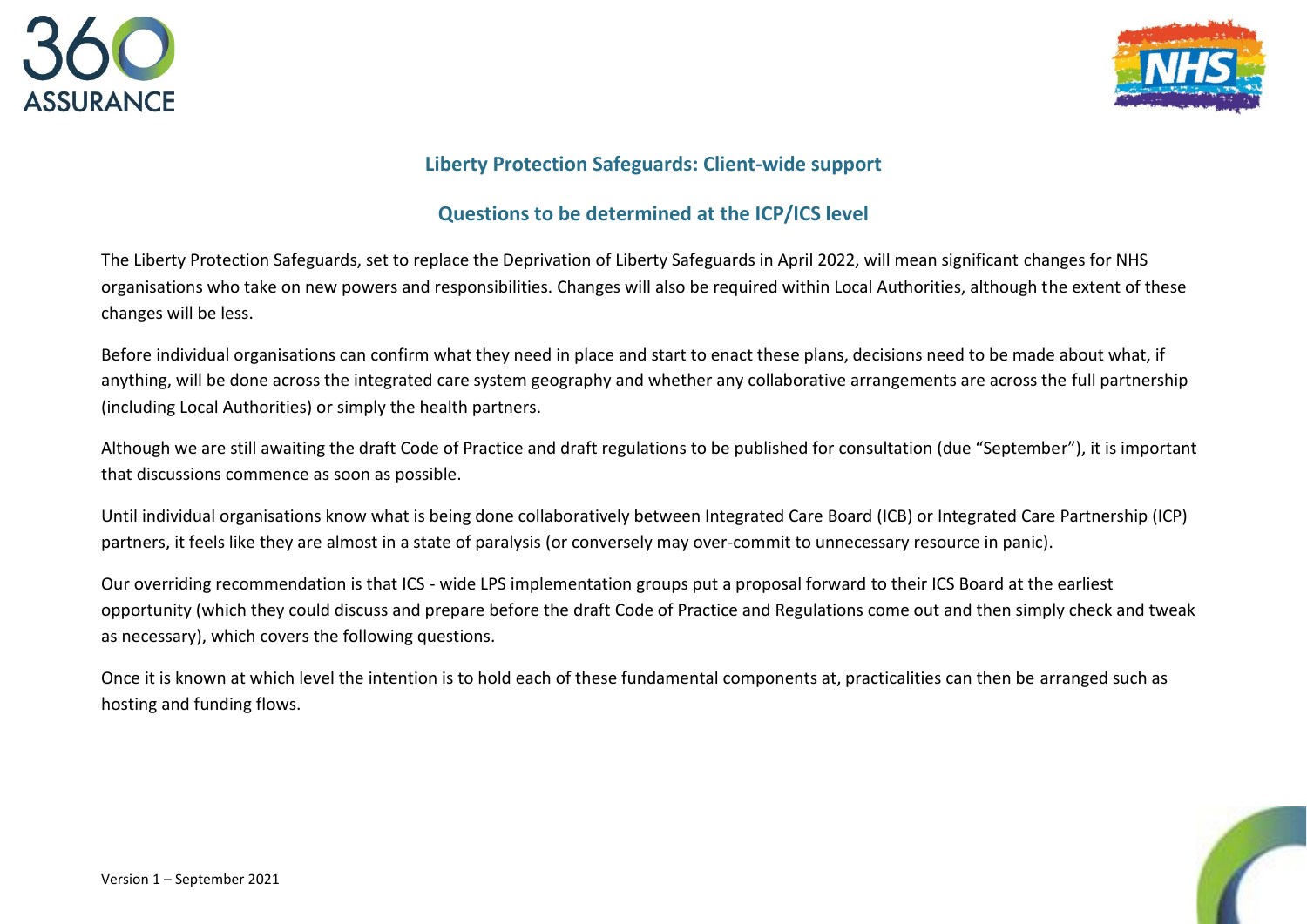



## **Liberty Protection Safeguards: Client-wide support**

## **Questions to be determined at the ICP/ICS level**

The Liberty Protection Safeguards, set to replace the Deprivation of Liberty Safeguards in April 2022, will mean significant changes for NHS organisations who take on new powers and responsibilities. Changes will also be required within Local Authorities, although the extent of these changes will be less.

Before individual organisations can confirm what they need in place and start to enact these plans, decisions need to be made about what, if anything, will be done across the integrated care system geography and whether any collaborative arrangements are across the full partnership (including Local Authorities) or simply the health partners.

Although we are still awaiting the draft Code of Practice and draft regulations to be published for consultation (due "September"), it is important that discussions commence as soon as possible.

Until individual organisations know what is being done collaboratively between Integrated Care Board (ICB) or Integrated Care Partnership (ICP) partners, it feels like they are almost in a state of paralysis (or conversely may over-commit to unnecessary resource in panic).

Our overriding recommendation is that ICS - wide LPS implementation groups put a proposal forward to their ICS Board at the earliest opportunity (which they could discuss and prepare before the draft Code of Practice and Regulations come out and then simply check and tweak as necessary), which covers the following questions.

Once it is known at which level the intention is to hold each of these fundamental components at, practicalities can then be arranged such as hosting and funding flows.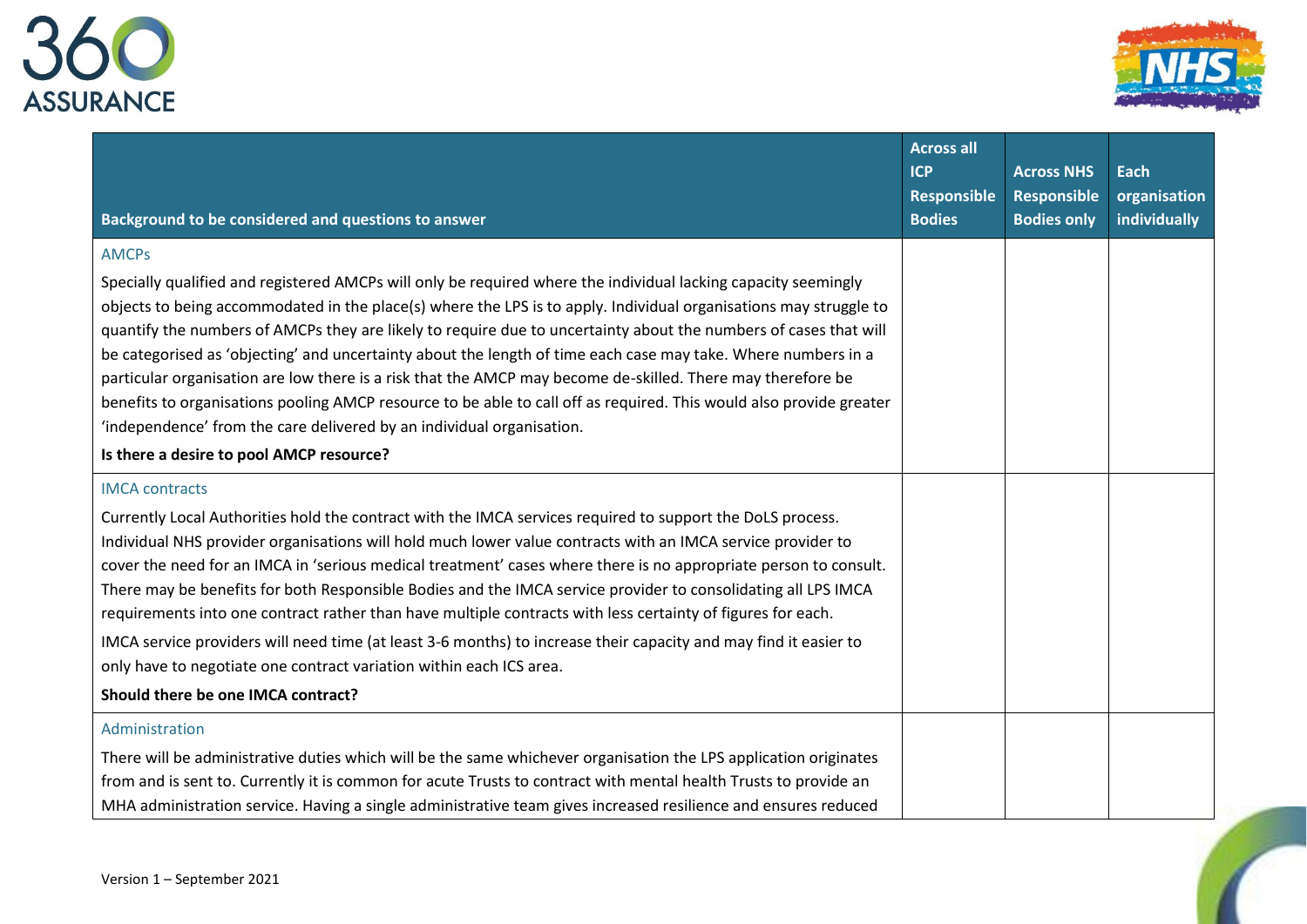



| Background to be considered and questions to answer                                                                                                                                                                                                                                                                                                                                                                                                                                                                                                                                                                                                                                                                                                                                                                                 | <b>Across all</b><br><b>ICP</b><br>Responsible<br><b>Bodies</b> | <b>Across NHS</b><br><b>Responsible</b><br><b>Bodies only</b> | Each<br>organisation<br>individually |
|-------------------------------------------------------------------------------------------------------------------------------------------------------------------------------------------------------------------------------------------------------------------------------------------------------------------------------------------------------------------------------------------------------------------------------------------------------------------------------------------------------------------------------------------------------------------------------------------------------------------------------------------------------------------------------------------------------------------------------------------------------------------------------------------------------------------------------------|-----------------------------------------------------------------|---------------------------------------------------------------|--------------------------------------|
| <b>AMCPs</b>                                                                                                                                                                                                                                                                                                                                                                                                                                                                                                                                                                                                                                                                                                                                                                                                                        |                                                                 |                                                               |                                      |
| Specially qualified and registered AMCPs will only be required where the individual lacking capacity seemingly<br>objects to being accommodated in the place(s) where the LPS is to apply. Individual organisations may struggle to<br>quantify the numbers of AMCPs they are likely to require due to uncertainty about the numbers of cases that will<br>be categorised as 'objecting' and uncertainty about the length of time each case may take. Where numbers in a<br>particular organisation are low there is a risk that the AMCP may become de-skilled. There may therefore be<br>benefits to organisations pooling AMCP resource to be able to call off as required. This would also provide greater<br>'independence' from the care delivered by an individual organisation.<br>Is there a desire to pool AMCP resource? |                                                                 |                                                               |                                      |
| <b>IMCA</b> contracts                                                                                                                                                                                                                                                                                                                                                                                                                                                                                                                                                                                                                                                                                                                                                                                                               |                                                                 |                                                               |                                      |
| Currently Local Authorities hold the contract with the IMCA services required to support the DoLS process.<br>Individual NHS provider organisations will hold much lower value contracts with an IMCA service provider to<br>cover the need for an IMCA in 'serious medical treatment' cases where there is no appropriate person to consult.<br>There may be benefits for both Responsible Bodies and the IMCA service provider to consolidating all LPS IMCA<br>requirements into one contract rather than have multiple contracts with less certainty of figures for each.<br>IMCA service providers will need time (at least 3-6 months) to increase their capacity and may find it easier to<br>only have to negotiate one contract variation within each ICS area.                                                            |                                                                 |                                                               |                                      |
| Should there be one IMCA contract?                                                                                                                                                                                                                                                                                                                                                                                                                                                                                                                                                                                                                                                                                                                                                                                                  |                                                                 |                                                               |                                      |
| Administration                                                                                                                                                                                                                                                                                                                                                                                                                                                                                                                                                                                                                                                                                                                                                                                                                      |                                                                 |                                                               |                                      |
| There will be administrative duties which will be the same whichever organisation the LPS application originates<br>from and is sent to. Currently it is common for acute Trusts to contract with mental health Trusts to provide an<br>MHA administration service. Having a single administrative team gives increased resilience and ensures reduced                                                                                                                                                                                                                                                                                                                                                                                                                                                                              |                                                                 |                                                               |                                      |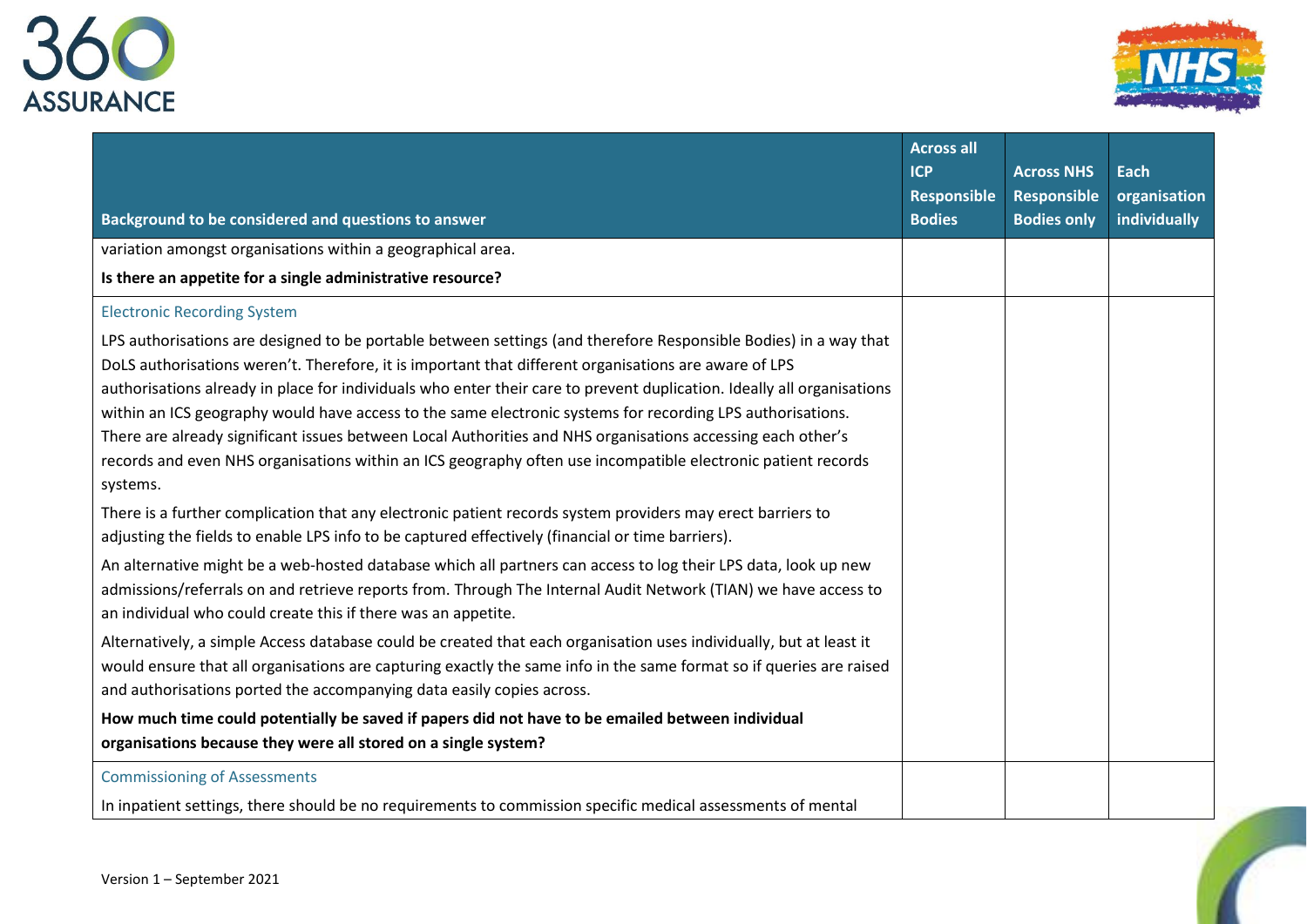



| Background to be considered and questions to answer                                                                                                                                                                                                                                                                                                                                                                                                                                                                                                                                                                                                                                                          | <b>Across all</b><br><b>ICP</b><br><b>Responsible</b><br><b>Bodies</b> | <b>Across NHS</b><br><b>Responsible</b><br><b>Bodies only</b> | Each<br>organisation<br>individually |
|--------------------------------------------------------------------------------------------------------------------------------------------------------------------------------------------------------------------------------------------------------------------------------------------------------------------------------------------------------------------------------------------------------------------------------------------------------------------------------------------------------------------------------------------------------------------------------------------------------------------------------------------------------------------------------------------------------------|------------------------------------------------------------------------|---------------------------------------------------------------|--------------------------------------|
| variation amongst organisations within a geographical area.                                                                                                                                                                                                                                                                                                                                                                                                                                                                                                                                                                                                                                                  |                                                                        |                                                               |                                      |
| Is there an appetite for a single administrative resource?                                                                                                                                                                                                                                                                                                                                                                                                                                                                                                                                                                                                                                                   |                                                                        |                                                               |                                      |
| <b>Electronic Recording System</b>                                                                                                                                                                                                                                                                                                                                                                                                                                                                                                                                                                                                                                                                           |                                                                        |                                                               |                                      |
| LPS authorisations are designed to be portable between settings (and therefore Responsible Bodies) in a way that<br>DoLS authorisations weren't. Therefore, it is important that different organisations are aware of LPS<br>authorisations already in place for individuals who enter their care to prevent duplication. Ideally all organisations<br>within an ICS geography would have access to the same electronic systems for recording LPS authorisations.<br>There are already significant issues between Local Authorities and NHS organisations accessing each other's<br>records and even NHS organisations within an ICS geography often use incompatible electronic patient records<br>systems. |                                                                        |                                                               |                                      |
| There is a further complication that any electronic patient records system providers may erect barriers to<br>adjusting the fields to enable LPS info to be captured effectively (financial or time barriers).                                                                                                                                                                                                                                                                                                                                                                                                                                                                                               |                                                                        |                                                               |                                      |
| An alternative might be a web-hosted database which all partners can access to log their LPS data, look up new<br>admissions/referrals on and retrieve reports from. Through The Internal Audit Network (TIAN) we have access to<br>an individual who could create this if there was an appetite.                                                                                                                                                                                                                                                                                                                                                                                                            |                                                                        |                                                               |                                      |
| Alternatively, a simple Access database could be created that each organisation uses individually, but at least it<br>would ensure that all organisations are capturing exactly the same info in the same format so if queries are raised<br>and authorisations ported the accompanying data easily copies across.                                                                                                                                                                                                                                                                                                                                                                                           |                                                                        |                                                               |                                      |
| How much time could potentially be saved if papers did not have to be emailed between individual<br>organisations because they were all stored on a single system?                                                                                                                                                                                                                                                                                                                                                                                                                                                                                                                                           |                                                                        |                                                               |                                      |
| <b>Commissioning of Assessments</b>                                                                                                                                                                                                                                                                                                                                                                                                                                                                                                                                                                                                                                                                          |                                                                        |                                                               |                                      |
| In inpatient settings, there should be no requirements to commission specific medical assessments of mental                                                                                                                                                                                                                                                                                                                                                                                                                                                                                                                                                                                                  |                                                                        |                                                               |                                      |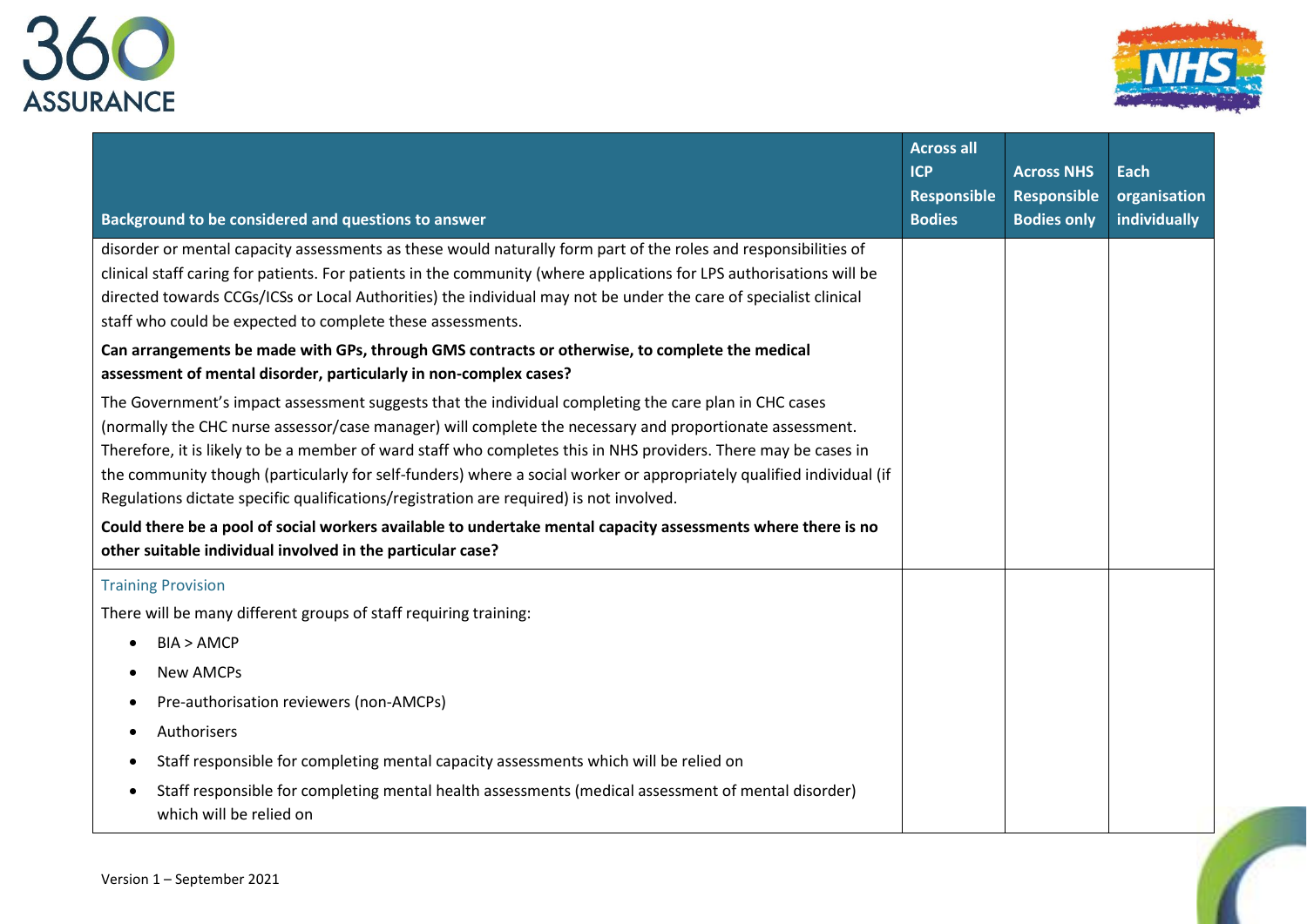



| Background to be considered and questions to answer                                                                                                                                                                                                                                                                                                                                                                                                                                                                                                     | <b>Across all</b><br><b>ICP</b><br>Responsible<br><b>Bodies</b> | <b>Across NHS</b><br>Responsible<br><b>Bodies only</b> | <b>Each</b><br>organisation<br>individually |
|---------------------------------------------------------------------------------------------------------------------------------------------------------------------------------------------------------------------------------------------------------------------------------------------------------------------------------------------------------------------------------------------------------------------------------------------------------------------------------------------------------------------------------------------------------|-----------------------------------------------------------------|--------------------------------------------------------|---------------------------------------------|
| disorder or mental capacity assessments as these would naturally form part of the roles and responsibilities of<br>clinical staff caring for patients. For patients in the community (where applications for LPS authorisations will be<br>directed towards CCGs/ICSs or Local Authorities) the individual may not be under the care of specialist clinical                                                                                                                                                                                             |                                                                 |                                                        |                                             |
| staff who could be expected to complete these assessments.                                                                                                                                                                                                                                                                                                                                                                                                                                                                                              |                                                                 |                                                        |                                             |
| Can arrangements be made with GPs, through GMS contracts or otherwise, to complete the medical<br>assessment of mental disorder, particularly in non-complex cases?                                                                                                                                                                                                                                                                                                                                                                                     |                                                                 |                                                        |                                             |
| The Government's impact assessment suggests that the individual completing the care plan in CHC cases<br>(normally the CHC nurse assessor/case manager) will complete the necessary and proportionate assessment.<br>Therefore, it is likely to be a member of ward staff who completes this in NHS providers. There may be cases in<br>the community though (particularly for self-funders) where a social worker or appropriately qualified individual (if<br>Regulations dictate specific qualifications/registration are required) is not involved. |                                                                 |                                                        |                                             |
| Could there be a pool of social workers available to undertake mental capacity assessments where there is no<br>other suitable individual involved in the particular case?                                                                                                                                                                                                                                                                                                                                                                              |                                                                 |                                                        |                                             |
| <b>Training Provision</b>                                                                                                                                                                                                                                                                                                                                                                                                                                                                                                                               |                                                                 |                                                        |                                             |
| There will be many different groups of staff requiring training:                                                                                                                                                                                                                                                                                                                                                                                                                                                                                        |                                                                 |                                                        |                                             |
| BIA > AMCP<br>$\bullet$                                                                                                                                                                                                                                                                                                                                                                                                                                                                                                                                 |                                                                 |                                                        |                                             |
| <b>New AMCPs</b><br>$\bullet$                                                                                                                                                                                                                                                                                                                                                                                                                                                                                                                           |                                                                 |                                                        |                                             |
| Pre-authorisation reviewers (non-AMCPs)<br>$\bullet$                                                                                                                                                                                                                                                                                                                                                                                                                                                                                                    |                                                                 |                                                        |                                             |
| Authorisers                                                                                                                                                                                                                                                                                                                                                                                                                                                                                                                                             |                                                                 |                                                        |                                             |
| Staff responsible for completing mental capacity assessments which will be relied on<br>$\bullet$                                                                                                                                                                                                                                                                                                                                                                                                                                                       |                                                                 |                                                        |                                             |
| Staff responsible for completing mental health assessments (medical assessment of mental disorder)<br>$\bullet$<br>which will be relied on                                                                                                                                                                                                                                                                                                                                                                                                              |                                                                 |                                                        |                                             |